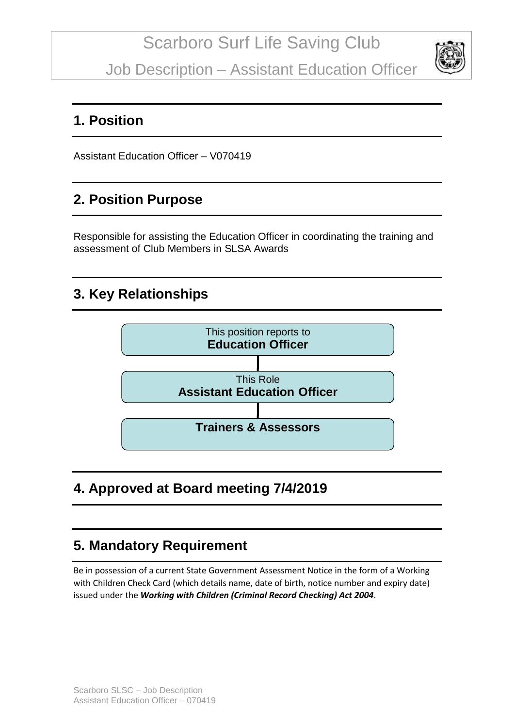Job Description – Assistant Education Officer



#### **1. Position**

Assistant Education Officer – V070419

### **2. Position Purpose**

Responsible for assisting the Education Officer in coordinating the training and assessment of Club Members in SLSA Awards

### **3. Key Relationships**



# **4. Approved at Board meeting 7/4/2019**

# **5. Mandatory Requirement**

Be in possession of a current State Government Assessment Notice in the form of a Working with Children Check Card (which details name, date of birth, notice number and expiry date) issued under the *Working with Children (Criminal Record Checking) Act 2004*.